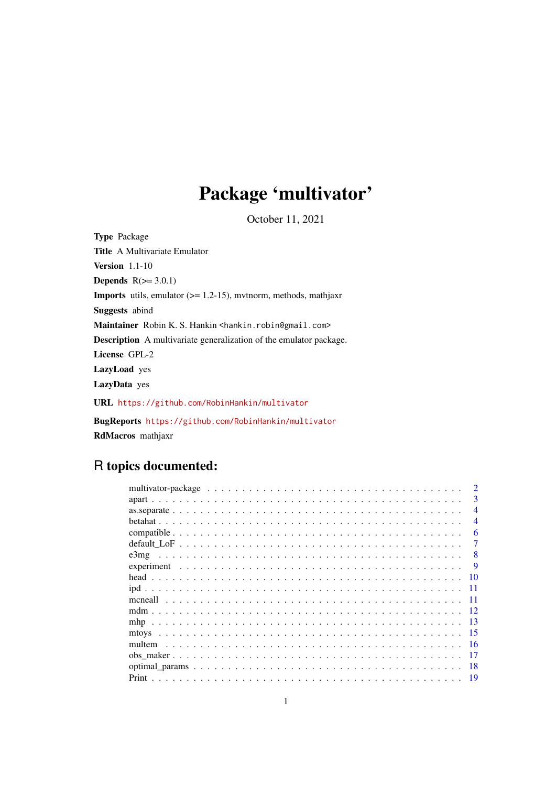# Package 'multivator'

October 11, 2021

Type Package Title A Multivariate Emulator Version 1.1-10 Depends  $R(>= 3.0.1)$ Imports utils, emulator (>= 1.2-15), mvtnorm, methods, mathjaxr Suggests abind Maintainer Robin K. S. Hankin <hankin.robin@gmail.com> Description A multivariate generalization of the emulator package. License GPL-2 LazyLoad yes LazyData yes URL <https://github.com/RobinHankin/multivator> BugReports <https://github.com/RobinHankin/multivator> RdMacros mathjaxr

## R topics documented:

| 3              |
|----------------|
| $\overline{4}$ |
| $\overline{4}$ |
| 6              |
|                |
| 8              |
| -9             |
| 10             |
|                |
|                |
| 12             |
| -13            |
| -15            |
| -16            |
|                |
|                |
|                |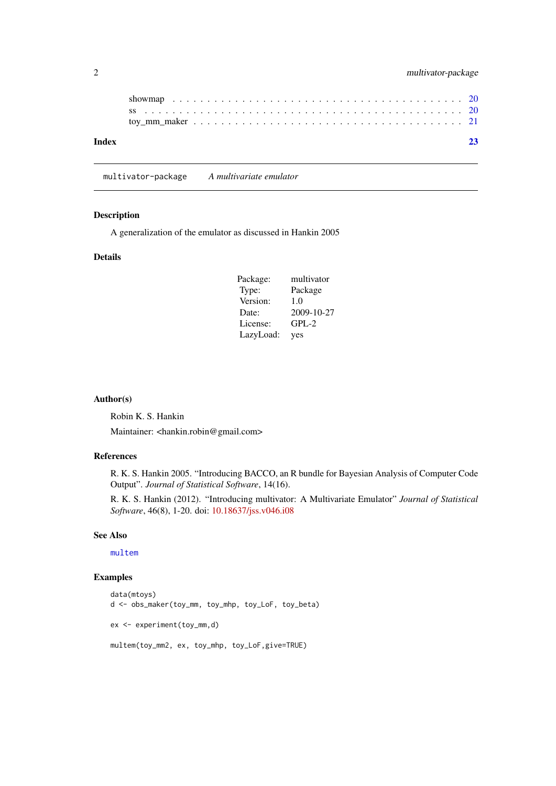<span id="page-1-0"></span>

|  | multivator-package |
|--|--------------------|
|--|--------------------|

| Index | 23 |
|-------|----|
|       |    |
|       |    |

multivator-package *A multivariate emulator*

#### Description

A generalization of the emulator as discussed in Hankin 2005

#### Details

| Package:  | multivator |
|-----------|------------|
| Type:     | Package    |
| Version:  | 1.0        |
| Date:     | 2009-10-27 |
| License:  | $GPL-2$    |
| LazyLoad: | yes        |

#### Author(s)

Robin K. S. Hankin

Maintainer: <hankin.robin@gmail.com>

#### References

R. K. S. Hankin 2005. "Introducing BACCO, an R bundle for Bayesian Analysis of Computer Code Output". *Journal of Statistical Software*, 14(16).

R. K. S. Hankin (2012). "Introducing multivator: A Multivariate Emulator" *Journal of Statistical Software*, 46(8), 1-20. doi: [10.18637/jss.v046.i08](https://doi.org/10.18637/jss.v046.i08)

#### See Also

[multem](#page-15-1)

```
data(mtoys)
d <- obs_maker(toy_mm, toy_mhp, toy_LoF, toy_beta)
ex <- experiment(toy_mm,d)
multem(toy_mm2, ex, toy_mhp, toy_LoF,give=TRUE)
```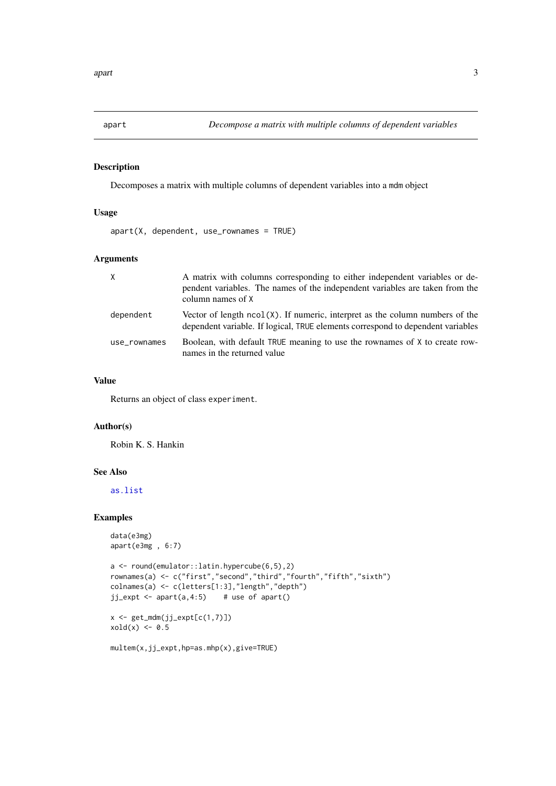<span id="page-2-1"></span><span id="page-2-0"></span>

Decomposes a matrix with multiple columns of dependent variables into a mdm object

#### Usage

 $apart(X, dependent, use_{rownames} = TRUE)$ 

#### Arguments

| X            | A matrix with columns corresponding to either independent variables or de-<br>pendent variables. The names of the independent variables are taken from the<br>column names of X |
|--------------|---------------------------------------------------------------------------------------------------------------------------------------------------------------------------------|
| dependent    | Vector of length $ncol(X)$ . If numeric, interpret as the column numbers of the<br>dependent variable. If logical, TRUE elements correspond to dependent variables              |
| use rownames | Boolean, with default TRUE meaning to use the rownames of X to create row-<br>names in the returned value                                                                       |

#### Value

Returns an object of class experiment.

#### Author(s)

Robin K. S. Hankin

#### See Also

[as.list](#page-11-1)

```
data(e3mg)
apart(e3mg , 6:7)
```

```
a <- round(emulator::latin.hypercube(6,5),2)
rownames(a) <- c("first","second","third","fourth","fifth","sixth")
colnames(a) <- c(letters[1:3],"length","depth")
jj_expt <- apart(a,4:5) # use of apart()
```

```
x \leftarrow get\_mdm(jj\_expt[c(1,7)])xold(x) < -0.5
```

```
multem(x,jj_expt,hp=as.mhp(x),give=TRUE)
```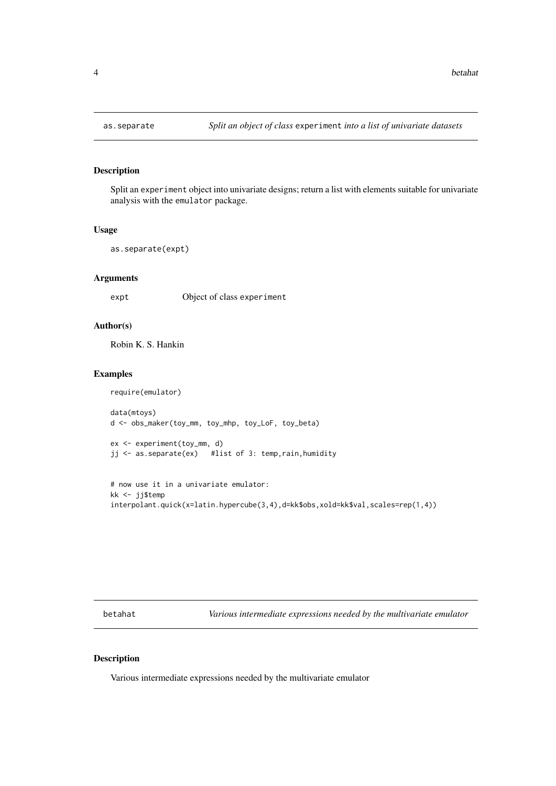Split an experiment object into univariate designs; return a list with elements suitable for univariate analysis with the emulator package.

#### Usage

```
as.separate(expt)
```
#### Arguments

expt Object of class experiment

#### Author(s)

Robin K. S. Hankin

#### Examples

require(emulator) data(mtoys) d <- obs\_maker(toy\_mm, toy\_mhp, toy\_LoF, toy\_beta) ex <- experiment(toy\_mm, d) jj <- as.separate(ex) #list of 3: temp,rain,humidity

```
# now use it in a univariate emulator:
kk <- jj$temp
interpolant.quick(x=latin.hypercube(3,4),d=kk$obs,xold=kk$val,scales=rep(1,4))
```
betahat *Various intermediate expressions needed by the multivariate emulator*

#### <span id="page-3-1"></span>Description

Various intermediate expressions needed by the multivariate emulator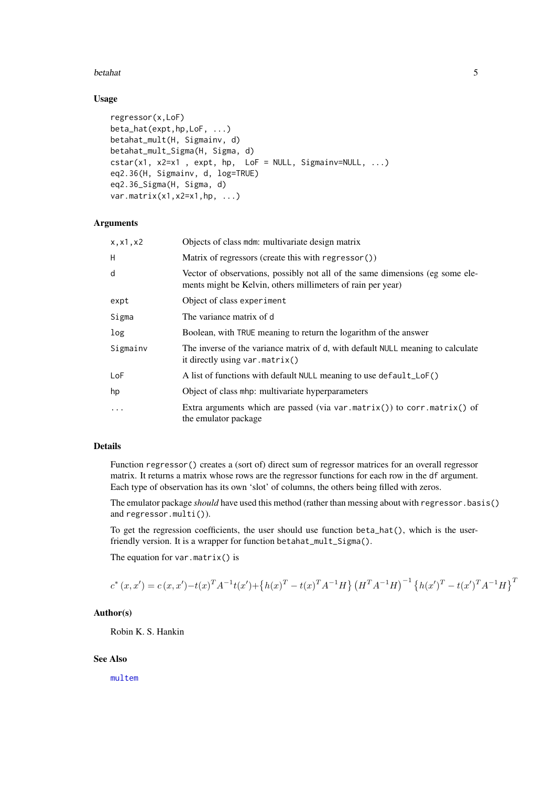#### <span id="page-4-0"></span>betahat 5 bertahat 5 bertahat 3 bertahat 3 bertahat 3 bertahat 3 bertahat 3 bertahat 3 bertahat 3 bertahat 3 bertahat 3 bertahat 3 bertahat 3 bertahat 3 bertahat 3 bertahat 3 bertahat 3 bertahat 3 bertahat 3 bertahat 3 ber

#### Usage

```
regressor(x,LoF)
beta_hat(expt,hp,LoF, ...)
betahat_mult(H, Sigmainv, d)
betahat_mult_Sigma(H, Sigma, d)
cstar(x1, x2=x1 , expt, hp, LoF = NULL, Sigmainv=NULL, ...)
eq2.36(H, Sigmainv, d, log=TRUE)
eq2.36_Sigma(H, Sigma, d)
var.matrix(x1,x2=x1,hp, ...)
```
#### Arguments

| x, x1, x2 | Objects of class mdm: multivariate design matrix                                                                                             |
|-----------|----------------------------------------------------------------------------------------------------------------------------------------------|
| H         | Matrix of regressors (create this with regressor())                                                                                          |
| d         | Vector of observations, possibly not all of the same dimensions (eg some ele-<br>ments might be Kelvin, others millimeters of rain per year) |
| expt      | Object of class experiment                                                                                                                   |
| Sigma     | The variance matrix of d                                                                                                                     |
| log       | Boolean, with TRUE meaning to return the logarithm of the answer                                                                             |
| Sigmainv  | The inverse of the variance matrix of d, with default NULL meaning to calculate<br>it directly using $var.matrix()$                          |
| LoF       | A list of functions with default NULL meaning to use default_LoF()                                                                           |
| hp        | Object of class mhp: multivariate hyperparameters                                                                                            |
| $\cdots$  | Extra arguments which are passed (via var.matrix()) to corr.matrix() of<br>the emulator package                                              |

#### Details

Function regressor() creates a (sort of) direct sum of regressor matrices for an overall regressor matrix. It returns a matrix whose rows are the regressor functions for each row in the df argument. Each type of observation has its own 'slot' of columns, the others being filled with zeros.

The emulator package *should* have used this method (rather than messing about with regressor.basis() and regressor.multi()).

To get the regression coefficients, the user should use function beta\_hat(), which is the userfriendly version. It is a wrapper for function betahat\_mult\_Sigma().

The equation for var.matrix() is

$$
c^*(x, x') = c(x, x') - t(x)^T A^{-1} t(x') + \left\{ h(x)^T - t(x)^T A^{-1} H \right\} \left( H^T A^{-1} H \right)^{-1} \left\{ h(x')^T - t(x')^T A^{-1} H \right\}^T
$$

#### Author(s)

Robin K. S. Hankin

#### See Also

[multem](#page-15-1)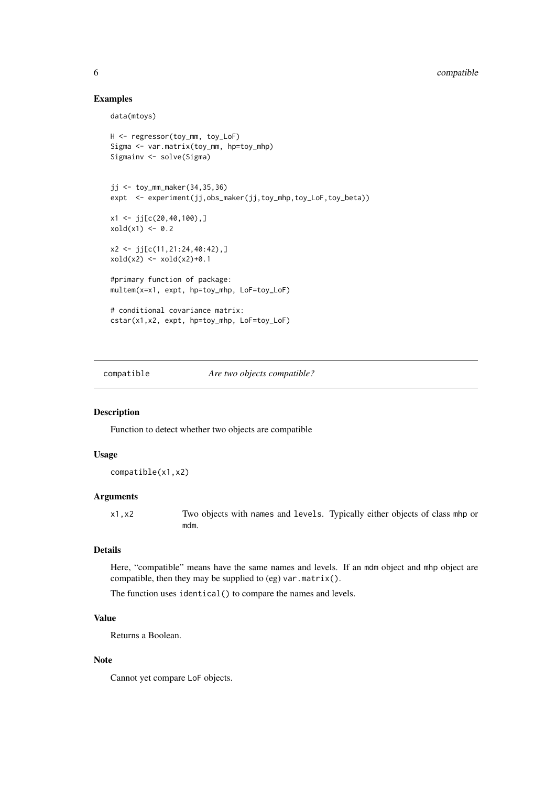#### Examples

data(mtoys)

```
H <- regressor(toy_mm, toy_LoF)
Sigma <- var.matrix(toy_mm, hp=toy_mhp)
Sigmainv <- solve(Sigma)
jj <- toy_mm_maker(34,35,36)
expt <- experiment(jj,obs_maker(jj,toy_mhp,toy_LoF,toy_beta))
x1 \leftarrow j[c(20, 40, 100), ]xold(x1) < -0.2x2 \leftarrow j [c(11, 21: 24, 40: 42),]
xold(x2) < - xold(x2)+0.1#primary function of package:
multem(x=x1, expt, hp=toy_mhp, LoF=toy_LoF)
# conditional covariance matrix:
cstar(x1,x2, expt, hp=toy_mhp, LoF=toy_LoF)
```
compatible *Are two objects compatible?*

#### Description

Function to detect whether two objects are compatible

#### Usage

compatible(x1,x2)

#### Arguments

x1,x2 Two objects with names and levels. Typically either objects of class mhp or mdm.

#### Details

Here, "compatible" means have the same names and levels. If an mdm object and mhp object are compatible, then they may be supplied to (eg) var.matrix().

The function uses identical() to compare the names and levels.

#### Value

Returns a Boolean.

#### Note

Cannot yet compare LoF objects.

<span id="page-5-0"></span>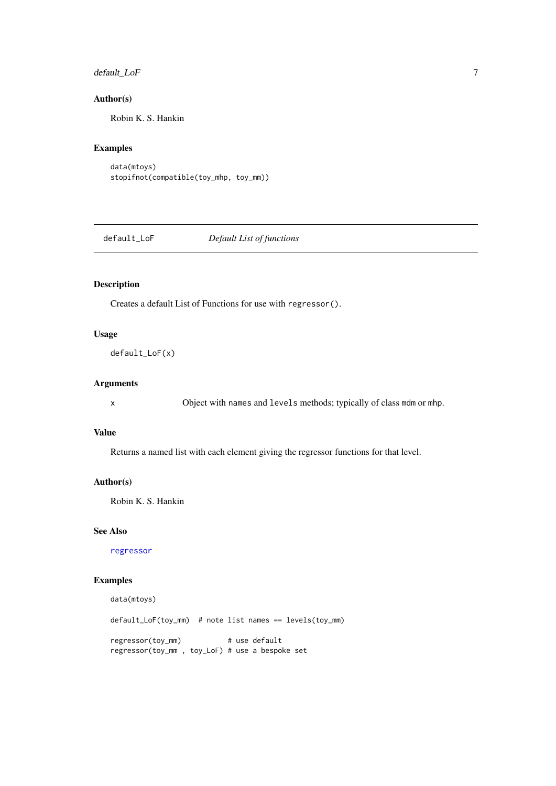#### <span id="page-6-0"></span>default\_LoF 7

#### Author(s)

Robin K. S. Hankin

#### Examples

```
data(mtoys)
stopifnot(compatible(toy_mhp, toy_mm))
```
default\_LoF *Default List of functions*

#### Description

Creates a default List of Functions for use with regressor().

#### Usage

```
default_LoF(x)
```
#### Arguments

x Object with names and levels methods; typically of class mdm or mhp.

#### Value

Returns a named list with each element giving the regressor functions for that level.

#### Author(s)

Robin K. S. Hankin

#### See Also

[regressor](#page-3-1)

```
data(mtoys)
default_LoF(toy_mm) # note list names == levels(toy_mm)
regressor(toy_mm) # use default
regressor(toy_mm , toy_LoF) # use a bespoke set
```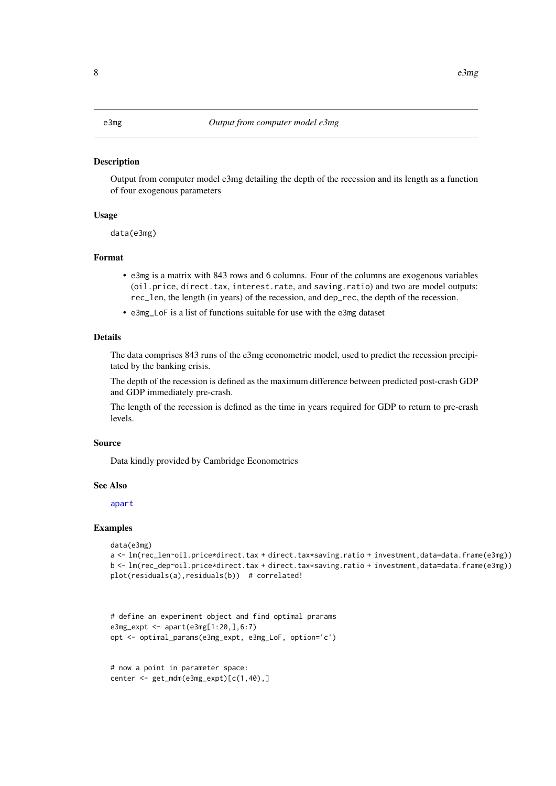Output from computer model e3mg detailing the depth of the recession and its length as a function of four exogenous parameters

#### Usage

```
data(e3mg)
```
#### Format

- e3mg is a matrix with 843 rows and 6 columns. Four of the columns are exogenous variables (oil.price, direct.tax, interest.rate, and saving.ratio) and two are model outputs: rec\_len, the length (in years) of the recession, and dep\_rec, the depth of the recession.
- e3mg\_LoF is a list of functions suitable for use with the e3mg dataset

#### Details

The data comprises 843 runs of the e3mg econometric model, used to predict the recession precipitated by the banking crisis.

The depth of the recession is defined as the maximum difference between predicted post-crash GDP and GDP immediately pre-crash.

The length of the recession is defined as the time in years required for GDP to return to pre-crash levels.

#### Source

Data kindly provided by Cambridge Econometrics

#### See Also

[apart](#page-2-1)

```
data(e3mg)
a <- lm(rec_len~oil.price*direct.tax + direct.tax*saving.ratio + investment,data=data.frame(e3mg))
b <- lm(rec_dep~oil.price*direct.tax + direct.tax*saving.ratio + investment,data=data.frame(e3mg))
plot(residuals(a),residuals(b)) # correlated!
```

```
# define an experiment object and find optimal prarams
e3mg_expt <- apart(e3mg[1:20,],6:7)
opt <- optimal_params(e3mg_expt, e3mg_LoF, option='c')
```

```
# now a point in parameter space:
center <- get_mdm(e3mg_expt)[c(1,40),]
```
<span id="page-7-0"></span>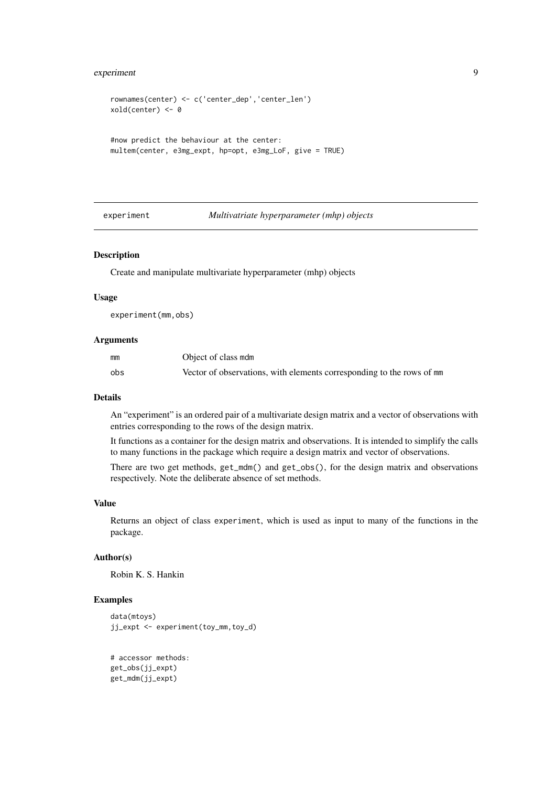#### <span id="page-8-0"></span>experiment 9

```
rownames(center) <- c('center_dep','center_len')
xold(center) <- 0
#now predict the behaviour at the center:
multem(center, e3mg_expt, hp=opt, e3mg_LoF, give = TRUE)
```
#### experiment *Multivatriate hyperparameter (mhp) objects*

#### Description

Create and manipulate multivariate hyperparameter (mhp) objects

#### Usage

experiment(mm,obs)

#### Arguments

| mm  | Object of class mdm                                                   |
|-----|-----------------------------------------------------------------------|
| obs | Vector of observations, with elements corresponding to the rows of mm |

#### Details

An "experiment" is an ordered pair of a multivariate design matrix and a vector of observations with entries corresponding to the rows of the design matrix.

It functions as a container for the design matrix and observations. It is intended to simplify the calls to many functions in the package which require a design matrix and vector of observations.

There are two get methods, get\_mdm() and get\_obs(), for the design matrix and observations respectively. Note the deliberate absence of set methods.

#### Value

Returns an object of class experiment, which is used as input to many of the functions in the package.

#### Author(s)

Robin K. S. Hankin

```
data(mtoys)
jj_expt <- experiment(toy_mm,toy_d)
```

```
# accessor methods:
get_obs(jj_expt)
get_mdm(jj_expt)
```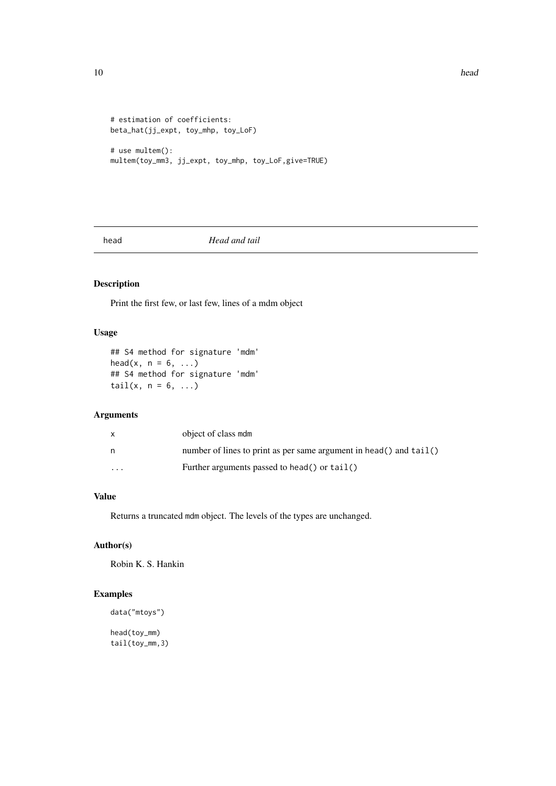```
# estimation of coefficients:
beta_hat(jj_expt, toy_mhp, toy_LoF)
# use multem():
```
multem(toy\_mm3, jj\_expt, toy\_mhp, toy\_LoF,give=TRUE)

head *Head and tail*

#### Description

Print the first few, or last few, lines of a mdm object

#### Usage

```
## S4 method for signature 'mdm'
head(x, n = 6, ...)
## S4 method for signature 'mdm'
tail(x, n = 6, ...)
```
#### Arguments

|          | object of class mdm                                                  |
|----------|----------------------------------------------------------------------|
| n        | number of lines to print as per same argument in head() and $tail()$ |
| $\cdots$ | Further arguments passed to head() or tail()                         |

#### Value

Returns a truncated mdm object. The levels of the types are unchanged.

#### Author(s)

Robin K. S. Hankin

#### Examples

```
data("mtoys")
```
head(toy\_mm) tail(toy\_mm,3)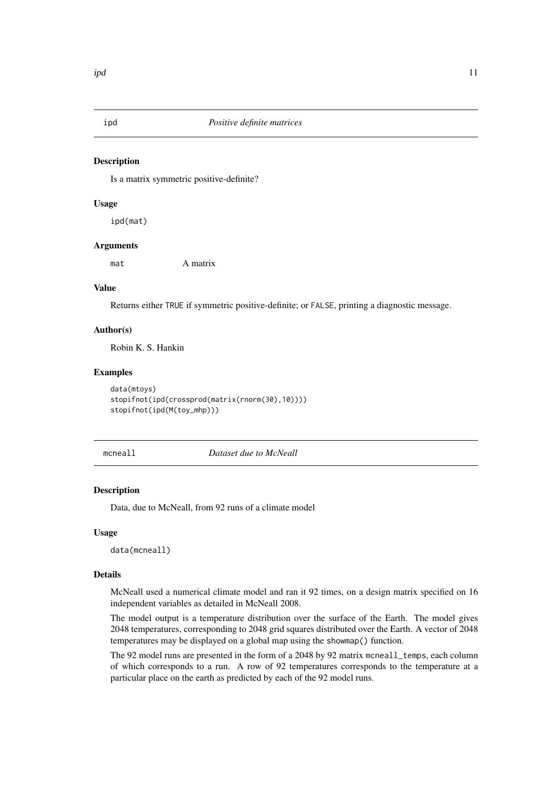<span id="page-10-0"></span>

Is a matrix symmetric positive-definite?

#### Usage

ipd(mat)

#### Arguments

mat A matrix

#### Value

Returns either TRUE if symmetric positive-definite; or FALSE, printing a diagnostic message.

#### Author(s)

Robin K. S. Hankin

#### Examples

```
data(mtoys)
stopifnot(ipd(crossprod(matrix(rnorm(30),10))))
stopifnot(ipd(M(toy_mhp)))
```
<span id="page-10-1"></span>mcneall *Dataset due to McNeall*

#### Description

Data, due to McNeall, from 92 runs of a climate model

#### Usage

data(mcneall)

#### Details

McNeall used a numerical climate model and ran it 92 times, on a design matrix specified on 16 independent variables as detailed in McNeall 2008.

The model output is a temperature distribution over the surface of the Earth. The model gives 2048 temperatures, corresponding to 2048 grid squares distributed over the Earth. A vector of 2048 temperatures may be displayed on a global map using the showmap() function.

The 92 model runs are presented in the form of a 2048 by 92 matrix mcneall\_temps, each column of which corresponds to a run. A row of 92 temperatures corresponds to the temperature at a particular place on the earth as predicted by each of the 92 model runs.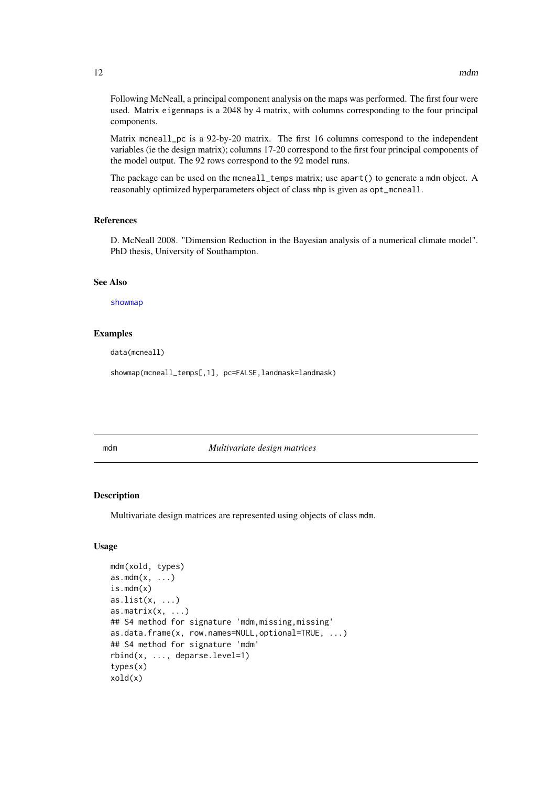Following McNeall, a principal component analysis on the maps was performed. The first four were used. Matrix eigenmaps is a 2048 by 4 matrix, with columns corresponding to the four principal components.

Matrix mcneall\_pc is a 92-by-20 matrix. The first 16 columns correspond to the independent variables (ie the design matrix); columns 17-20 correspond to the first four principal components of the model output. The 92 rows correspond to the 92 model runs.

The package can be used on the mcneall\_temps matrix; use apart() to generate a mdm object. A reasonably optimized hyperparameters object of class mhp is given as opt\_mcneall.

#### References

D. McNeall 2008. "Dimension Reduction in the Bayesian analysis of a numerical climate model". PhD thesis, University of Southampton.

#### See Also

[showmap](#page-19-1)

#### Examples

data(mcneall)

showmap(mcneall\_temps[,1], pc=FALSE,landmask=landmask)

<span id="page-11-2"></span>mdm *Multivariate design matrices*

#### <span id="page-11-1"></span>Description

Multivariate design matrices are represented using objects of class mdm.

#### Usage

```
mdm(xold, types)
as.mdm(x, \ldots)is.mdm(x)
as.list(x, \ldots)as.matrix(x, \ldots)## S4 method for signature 'mdm,missing,missing'
as.data.frame(x, row.names=NULL,optional=TRUE, ...)
## S4 method for signature 'mdm'
rbind(x, ..., deparse.level=1)
types(x)
xold(x)
```
<span id="page-11-0"></span>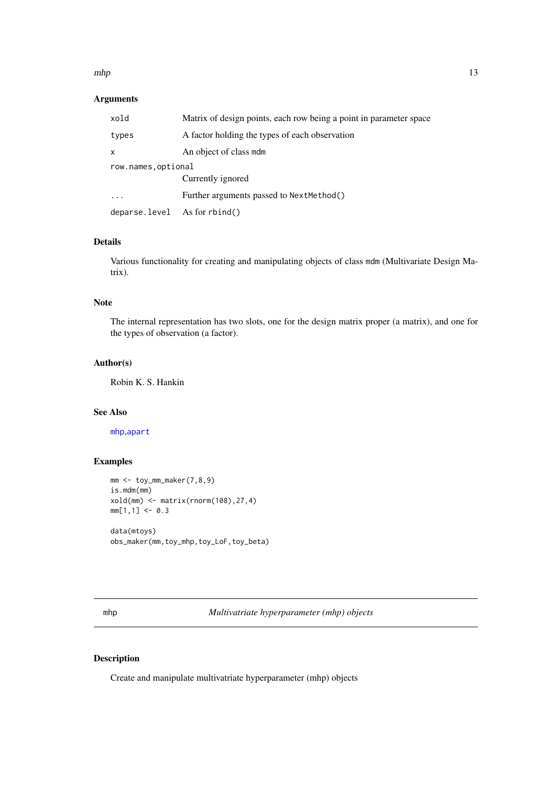#### <span id="page-12-0"></span> $mhp$  and  $13$

#### Arguments

| xold                              | Matrix of design points, each row being a point in parameter space |  |
|-----------------------------------|--------------------------------------------------------------------|--|
| types                             | A factor holding the types of each observation                     |  |
| x                                 | An object of class mdm                                             |  |
| row.names.optional                |                                                                    |  |
|                                   | Currently ignored                                                  |  |
|                                   | Further arguments passed to NextMethod()                           |  |
| $deparse. level$ As for $rbind()$ |                                                                    |  |

#### Details

Various functionality for creating and manipulating objects of class mdm (Multivariate Design Matrix).

#### Note

The internal representation has two slots, one for the design matrix proper (a matrix), and one for the types of observation (a factor).

#### Author(s)

Robin K. S. Hankin

#### See Also

[mhp](#page-12-1),[apart](#page-2-1)

#### Examples

```
mm <- toy_mm_maker(7,8,9)
is.mdm(mm)
xold(mm) <- matrix(rnorm(108),27,4)
mm[1,1] <- 0.3
data(mtoys)
obs_maker(mm,toy_mhp,toy_LoF,toy_beta)
```
<span id="page-12-1"></span>mhp *Multivatriate hyperparameter (mhp) objects*

#### Description

Create and manipulate multivatriate hyperparameter (mhp) objects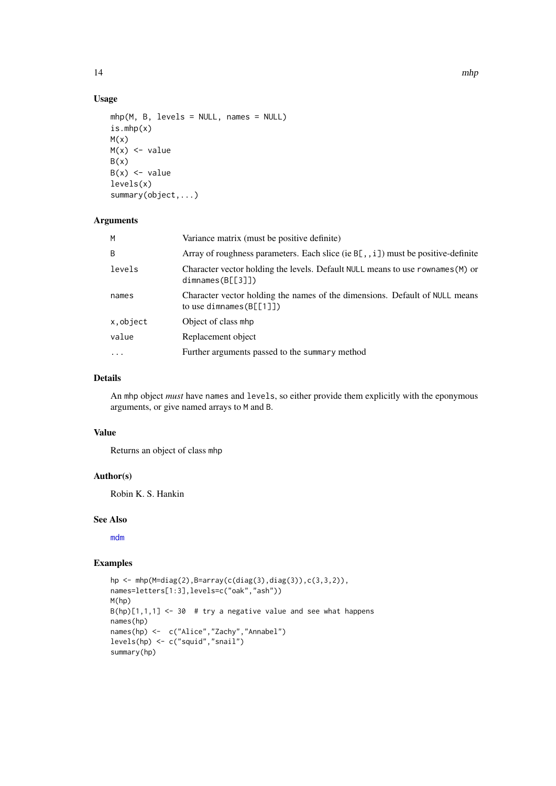#### Usage

```
mhp(M, B, levels = NULL, names = NULL)
is.mhp(x)
M(x)M(x) <- value
B(x)B(x) <- value
levels(x)
summary(object,...)
```
#### Arguments

| M          | Variance matrix (must be positive definite)                                                               |
|------------|-----------------------------------------------------------------------------------------------------------|
| B          | Array of roughness parameters. Each slice (ie B[,, i]) must be positive-definite                          |
| levels     | Character vector holding the levels. Default NULL means to use rownames (M) or<br>dimnames(B[[3]])        |
| names      | Character vector holding the names of the dimensions. Default of NULL means<br>to use dimnames $(B[[1]])$ |
| x, object  | Object of class mhp                                                                                       |
| value      | Replacement object                                                                                        |
| $\ddots$ . | Further arguments passed to the summary method                                                            |
|            |                                                                                                           |

#### Details

An mhp object *must* have names and levels, so either provide them explicitly with the eponymous arguments, or give named arrays to M and B.

#### Value

Returns an object of class mhp

#### Author(s)

Robin K. S. Hankin

#### See Also

[mdm](#page-11-2)

```
hp <- mhp(M=diag(2),B=array(c(diag(3),diag(3)),c(3,3,2)),
names=letters[1:3],levels=c("oak","ash"))
M(hp)
B(hp)[1,1,1] <- 30 # try a negative value and see what happens
names(hp)
names(hp) <- c("Alice","Zachy","Annabel")
levels(hp) <- c("squid","snail")
summary(hp)
```
<span id="page-13-0"></span>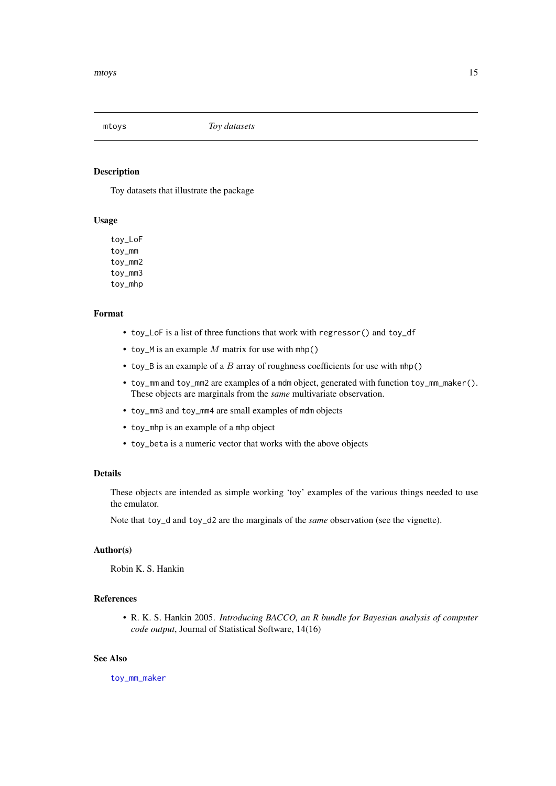<span id="page-14-0"></span>

Toy datasets that illustrate the package

#### Usage

toy\_LoF toy\_mm toy\_mm2 toy mm3 toy\_mhp

#### Format

- toy\_LoF is a list of three functions that work with regressor() and toy\_df
- toy\_M is an example  $M$  matrix for use with mhp()
- toy\_B is an example of a B array of roughness coefficients for use with mhp()
- toy\_mm and toy\_mm2 are examples of a mdm object, generated with function toy\_mm\_maker(). These objects are marginals from the *same* multivariate observation.
- toy\_mm3 and toy\_mm4 are small examples of mdm objects
- toy\_mhp is an example of a mhp object
- toy\_beta is a numeric vector that works with the above objects

#### Details

These objects are intended as simple working 'toy' examples of the various things needed to use the emulator.

Note that toy\_d and toy\_d2 are the marginals of the *same* observation (see the vignette).

#### Author(s)

Robin K. S. Hankin

#### References

• R. K. S. Hankin 2005. *Introducing BACCO, an R bundle for Bayesian analysis of computer code output*, Journal of Statistical Software, 14(16)

#### See Also

[toy\\_mm\\_maker](#page-20-1)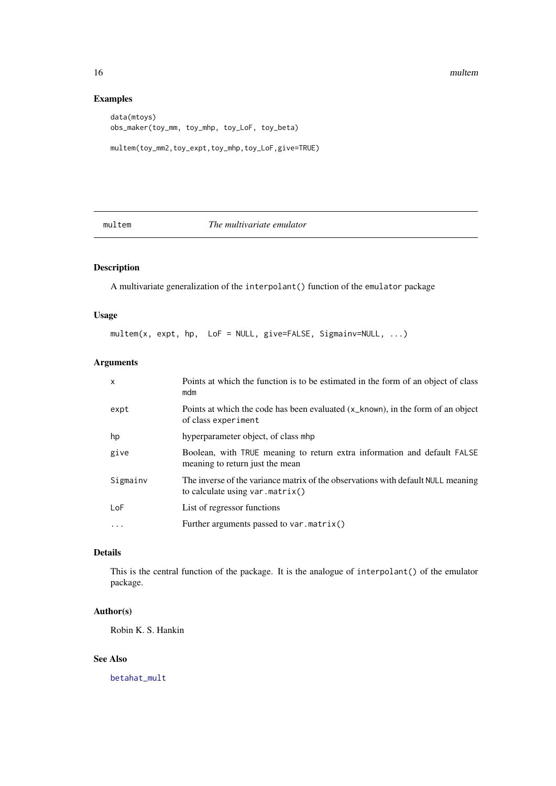<span id="page-15-0"></span>16 multem and the multer measurement of the multer multer multer multer multer multer

#### Examples

```
data(mtoys)
obs_maker(toy_mm, toy_mhp, toy_LoF, toy_beta)
multem(toy_mm2,toy_expt,toy_mhp,toy_LoF,give=TRUE)
```
#### <span id="page-15-1"></span>multem *The multivariate emulator*

#### Description

A multivariate generalization of the interpolant() function of the emulator package

#### Usage

multem(x, expt, hp, LoF = NULL, give=FALSE, Sigmainv=NULL, ...)

#### Arguments

| X        | Points at which the function is to be estimated in the form of an object of class<br>mdm                              |
|----------|-----------------------------------------------------------------------------------------------------------------------|
| expt     | Points at which the code has been evaluated $(x_k)$ known), in the form of an object<br>of class experiment           |
| hp       | hyperparameter object, of class mhp                                                                                   |
| give     | Boolean, with TRUE meaning to return extra information and default FALSE<br>meaning to return just the mean           |
| Sigmainv | The inverse of the variance matrix of the observations with default NULL meaning<br>to calculate using $var.matrix()$ |
| LoF      | List of regressor functions                                                                                           |
| .        | Further arguments passed to var.matrix()                                                                              |
|          |                                                                                                                       |

#### Details

This is the central function of the package. It is the analogue of interpolant() of the emulator package.

#### Author(s)

Robin K. S. Hankin

#### See Also

[betahat\\_mult](#page-3-1)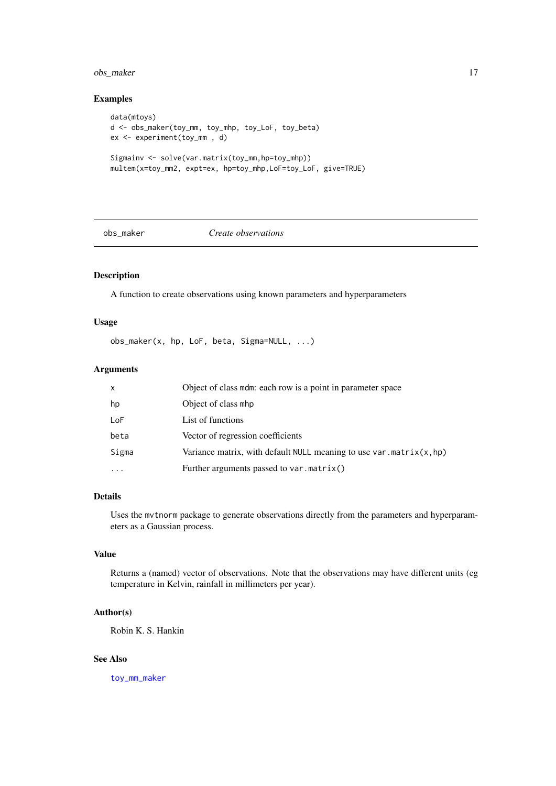#### <span id="page-16-0"></span>obs\_maker 17

#### Examples

```
data(mtoys)
d <- obs_maker(toy_mm, toy_mhp, toy_LoF, toy_beta)
ex <- experiment(toy_mm , d)
Sigmainv <- solve(var.matrix(toy_mm,hp=toy_mhp))
multem(x=toy_mm2, expt=ex, hp=toy_mhp,LoF=toy_LoF, give=TRUE)
```
#### obs\_maker *Create observations*

#### Description

A function to create observations using known parameters and hyperparameters

#### Usage

```
obs_maker(x, hp, LoF, beta, Sigma=NULL, ...)
```
#### Arguments

| x         | Object of class mdm: each row is a point in parameter space            |
|-----------|------------------------------------------------------------------------|
| hp        | Object of class mhp                                                    |
| LoF       | List of functions                                                      |
| beta      | Vector of regression coefficients                                      |
| Sigma     | Variance matrix, with default NULL meaning to use var.matrix $(x, hp)$ |
| $\ddotsc$ | Further arguments passed to var.matrix()                               |

#### Details

Uses the mvtnorm package to generate observations directly from the parameters and hyperparameters as a Gaussian process.

#### Value

Returns a (named) vector of observations. Note that the observations may have different units (eg temperature in Kelvin, rainfall in millimeters per year).

#### Author(s)

Robin K. S. Hankin

#### See Also

[toy\\_mm\\_maker](#page-20-1)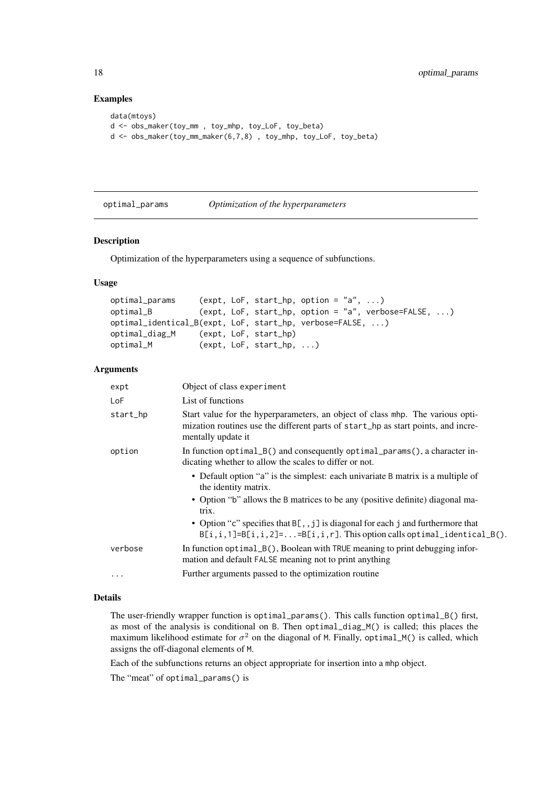#### Examples

```
data(mtoys)
d <- obs_maker(toy_mm , toy_mhp, toy_LoF, toy_beta)
d <- obs_maker(toy_mm_maker(6,7,8) , toy_mhp, toy_LoF, toy_beta)
```
#### optimal\_params *Optimization of the hyperparameters*

#### Description

Optimization of the hyperparameters using a sequence of subfunctions.

#### Usage

```
optimal_params (expt, LoF, start_hp, option = "a", ...)
optimal_B (expt, LoF, start_hp, option = "a", verbose=FALSE, ...)
optimal_identical_B(expt, LoF, start_hp, verbose=FALSE, ...)
optimal_diag_M (expt, LoF, start_hp)
optimal_M (expt, LoF, start_hp, ...)
```
#### Arguments

| expt     | Object of class experiment                                                                                                                                                                |
|----------|-------------------------------------------------------------------------------------------------------------------------------------------------------------------------------------------|
| LoF      | List of functions                                                                                                                                                                         |
| start_hp | Start value for the hyperparameters, an object of class mhp. The various opti-<br>mization routines use the different parts of start_hp as start points, and incre-<br>mentally update it |
| option   | In function $optimal_B()$ and consequently $optimal_p$ arams $()$ , a character in-<br>dicating whether to allow the scales to differ or not.                                             |
|          | • Default option "a" is the simplest: each univariate B matrix is a multiple of<br>the identity matrix.                                                                                   |
|          | • Option "b" allows the B matrices to be any (positive definite) diagonal ma-<br>trix.                                                                                                    |
|          | • Option "c" specifies that $B[$ , j] is diagonal for each j and furthermore that<br>$B[i, i, 1] = B[i, i, 2] =  = B[i, i, r]$ . This option calls optimal_identical_B().                 |
| verbose  | In function optimal_B(), Boolean with TRUE meaning to print debugging infor-<br>mation and default FALSE meaning not to print anything                                                    |
| $\cdots$ | Further arguments passed to the optimization routine                                                                                                                                      |

#### Details

The user-friendly wrapper function is optimal\_params(). This calls function optimal\_B() first, as most of the analysis is conditional on B. Then optimal\_diag\_M() is called; this places the maximum likelihood estimate for  $\sigma^2$  on the diagonal of M. Finally, optimal\_M() is called, which assigns the off-diagonal elements of M.

Each of the subfunctions returns an object appropriate for insertion into a mhp object.

The "meat" of optimal\_params() is

<span id="page-17-0"></span>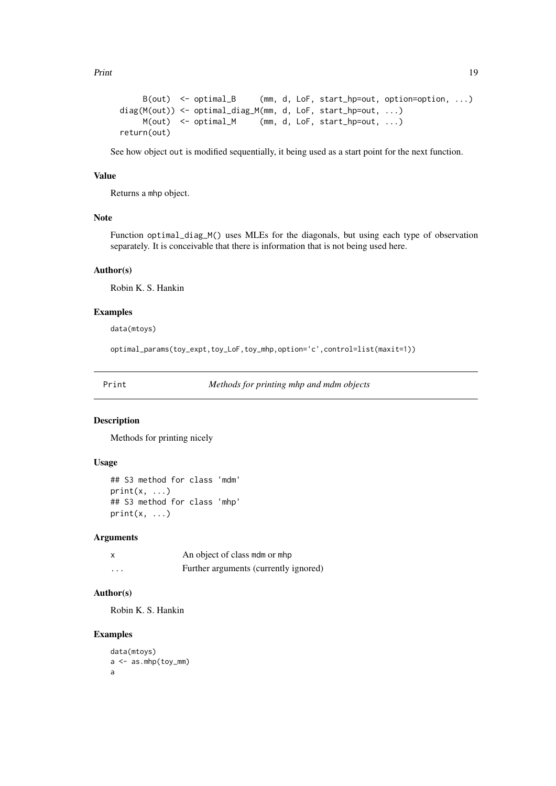<span id="page-18-0"></span>Print 2008 and 2009 and 2009 and 2009 and 2009 and 2009 and 2009 and 2009 and 2009 and 2009 and 2009 and 2009 and 2009 and 2009 and 2009 and 2009 and 2009 and 2009 and 2009 and 2009 and 2009 and 2009 and 2009 and 2009 and

```
B(out) <- optimal_B (mm, d, LoF, start_hp=out, option=option, ...)
diag(M(out)) <- optimal_diag_M(mm, d, LoF, start_hp=out, ...)
    M(out) <- optimal_M (mm, d, LoF, start_hp=out, ...)
return(out)
```
See how object out is modified sequentially, it being used as a start point for the next function.

#### Value

Returns a mhp object.

#### Note

Function optimal\_diag\_M() uses MLEs for the diagonals, but using each type of observation separately. It is conceivable that there is information that is not being used here.

#### Author(s)

Robin K. S. Hankin

#### Examples

data(mtoys)

optimal\_params(toy\_expt,toy\_LoF,toy\_mhp,option='c',control=list(maxit=1))

Print *Methods for printing mhp and mdm objects*

#### Description

Methods for printing nicely

#### Usage

```
## S3 method for class 'mdm'
print(x, \ldots)## S3 method for class 'mhp'
print(x, \ldots)
```
#### Arguments

|          | An object of class mdm or mhp         |
|----------|---------------------------------------|
| $\cdots$ | Further arguments (currently ignored) |

#### Author(s)

Robin K. S. Hankin

```
data(mtoys)
a <- as.mhp(toy_mm)
a
```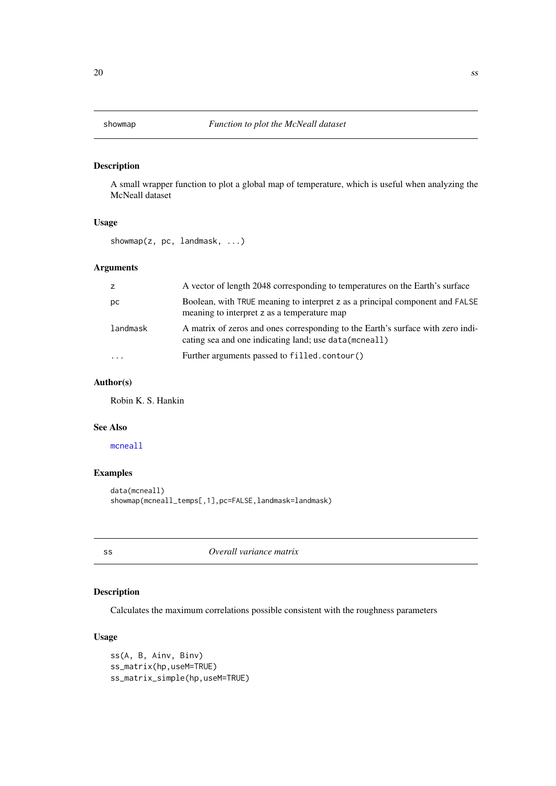<span id="page-19-1"></span><span id="page-19-0"></span>A small wrapper function to plot a global map of temperature, which is useful when analyzing the McNeall dataset

#### Usage

showmap(z, pc, landmask, ...)

#### Arguments

| z                    | A vector of length 2048 corresponding to temperatures on the Earth's surface                                                              |
|----------------------|-------------------------------------------------------------------------------------------------------------------------------------------|
| рc                   | Boolean, with TRUE meaning to interpret z as a principal component and FALSE<br>meaning to interpret z as a temperature map               |
| landmask             | A matrix of zeros and ones corresponding to the Earth's surface with zero indi-<br>cating sea and one indicating land; use data (mcneall) |
| $\ddot{\phantom{0}}$ | Further arguments passed to filled.contour()                                                                                              |

#### Author(s)

Robin K. S. Hankin

#### See Also

[mcneall](#page-10-1)

#### Examples

```
data(mcneall)
showmap(mcneall_temps[,1],pc=FALSE,landmask=landmask)
```
ss *Overall variance matrix*

#### Description

Calculates the maximum correlations possible consistent with the roughness parameters

#### Usage

```
ss(A, B, Ainv, Binv)
ss_matrix(hp,useM=TRUE)
ss_matrix_simple(hp,useM=TRUE)
```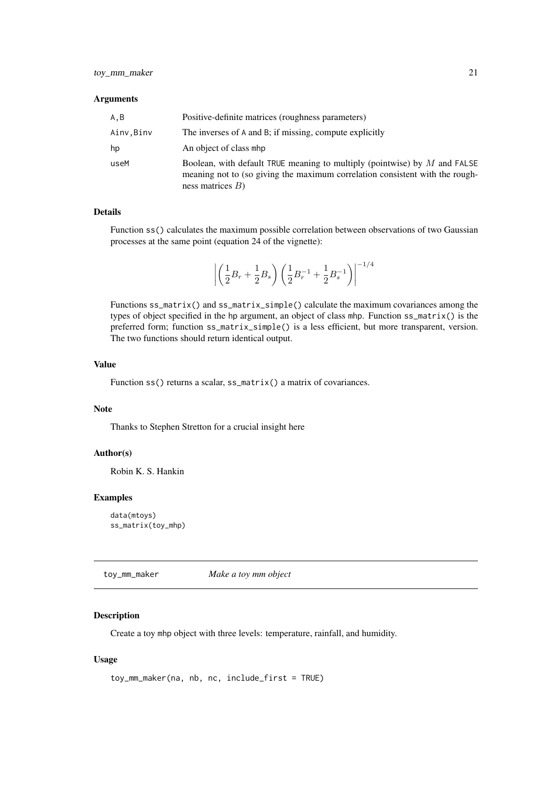#### <span id="page-20-0"></span>Arguments

| A,B       | Positive-definite matrices (roughness parameters)                                                                                                                                  |
|-----------|------------------------------------------------------------------------------------------------------------------------------------------------------------------------------------|
| Ainv,Binv | The inverses of A and B; if missing, compute explicitly                                                                                                                            |
| hp        | An object of class mhp                                                                                                                                                             |
| useM      | Boolean, with default TRUE meaning to multiply (pointwise) by $M$ and FALSE<br>meaning not to (so giving the maximum correlation consistent with the rough-<br>ness matrices $B$ ) |

#### Details

Function ss() calculates the maximum possible correlation between observations of two Gaussian processes at the same point (equation 24 of the vignette):

$$
\left| \left( \frac{1}{2}B_r + \frac{1}{2}B_s \right) \left( \frac{1}{2}B_r^{-1} + \frac{1}{2}B_s^{-1} \right) \right|^{-1/4}
$$

Functions ss\_matrix() and ss\_matrix\_simple() calculate the maximum covariances among the types of object specified in the hp argument, an object of class mhp. Function ss\_matrix() is the preferred form; function ss\_matrix\_simple() is a less efficient, but more transparent, version. The two functions should return identical output.

#### Value

Function ss() returns a scalar, ss\_matrix() a matrix of covariances.

#### Note

Thanks to Stephen Stretton for a crucial insight here

#### Author(s)

Robin K. S. Hankin

#### Examples

```
data(mtoys)
ss_matrix(toy_mhp)
```
<span id="page-20-1"></span>toy\_mm\_maker *Make a toy mm object*

#### Description

Create a toy mhp object with three levels: temperature, rainfall, and humidity.

#### Usage

```
toy_mm_maker(na, nb, nc, include_first = TRUE)
```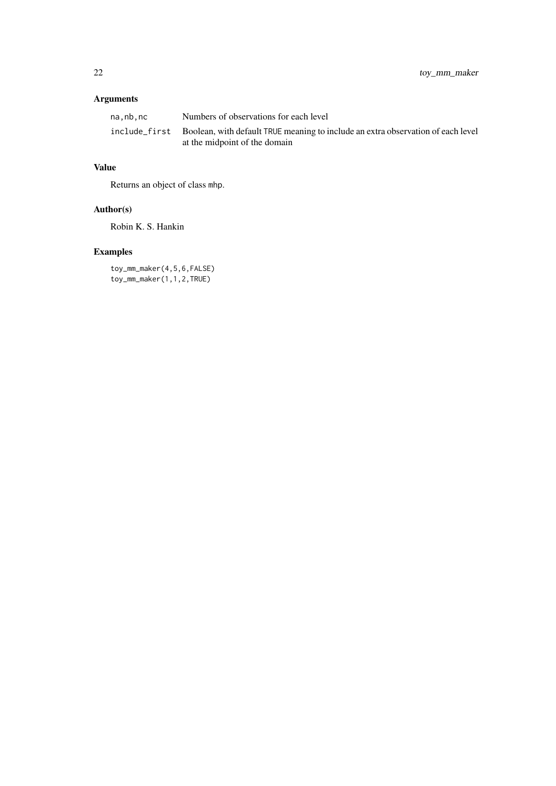### Arguments

| na.nb.nc | Numbers of observations for each level                                                         |
|----------|------------------------------------------------------------------------------------------------|
|          | include first Boolean, with default TRUE meaning to include an extra observation of each level |
|          | at the midpoint of the domain                                                                  |

### Value

Returns an object of class mhp.

### Author(s)

Robin K. S. Hankin

## Examples

toy\_mm\_maker(4,5,6,FALSE) toy\_mm\_maker(1,1,2,TRUE)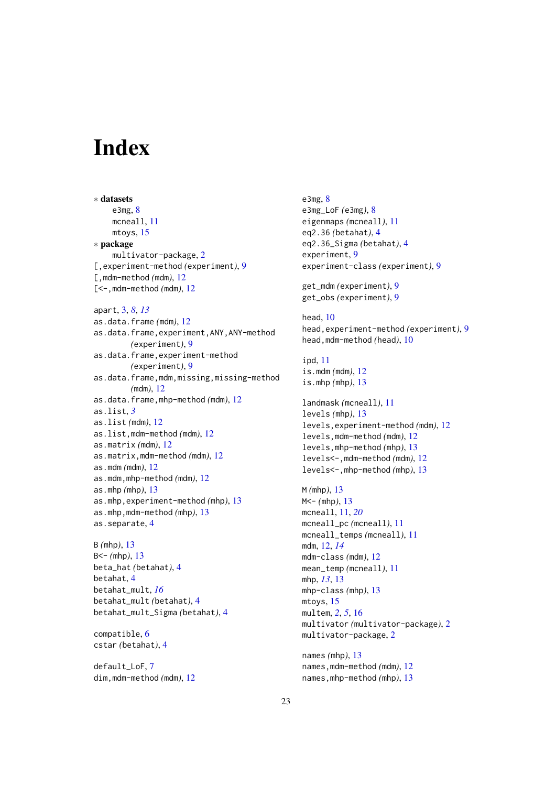# <span id="page-22-0"></span>**Index**

∗ datasets e3mg, [8](#page-7-0) mcneall, [11](#page-10-0) mtoys, [15](#page-14-0) ∗ package multivator-package, [2](#page-1-0) [,experiment-method *(*experiment*)*, [9](#page-8-0) [,mdm-method *(*mdm*)*, [12](#page-11-0) [<-,mdm-method *(*mdm*)*, [12](#page-11-0) apart, [3,](#page-2-0) *[8](#page-7-0)*, *[13](#page-12-0)* as.data.frame *(*mdm*)*, [12](#page-11-0) as.data.frame,experiment,ANY,ANY-method *(*experiment*)*, [9](#page-8-0) as.data.frame,experiment-method *(*experiment*)*, [9](#page-8-0) as.data.frame,mdm,missing,missing-method *(*mdm*)*, [12](#page-11-0) as.data.frame,mhp-method *(*mdm*)*, [12](#page-11-0) as.list, *[3](#page-2-0)* as.list *(*mdm*)*, [12](#page-11-0) as.list,mdm-method *(*mdm*)*, [12](#page-11-0) as.matrix *(*mdm*)*, [12](#page-11-0) as.matrix,mdm-method *(*mdm*)*, [12](#page-11-0) as.mdm *(*mdm*)*, [12](#page-11-0) as.mdm,mhp-method *(*mdm*)*, [12](#page-11-0) as.mhp *(*mhp*)*, [13](#page-12-0) as.mhp,experiment-method *(*mhp*)*, [13](#page-12-0) as.mhp,mdm-method *(*mhp*)*, [13](#page-12-0) as.separate, [4](#page-3-0)

B *(*mhp*)*, [13](#page-12-0) B<- *(*mhp*)*, [13](#page-12-0) beta\_hat *(*betahat*)*, [4](#page-3-0) betahat, [4](#page-3-0) betahat\_mult, *[16](#page-15-0)* betahat\_mult *(*betahat*)*, [4](#page-3-0) betahat\_mult\_Sigma *(*betahat*)*, [4](#page-3-0)

compatible, [6](#page-5-0) cstar *(*betahat*)*, [4](#page-3-0)

default\_LoF, [7](#page-6-0) dim,mdm-method *(*mdm*)*, [12](#page-11-0) e3mg, [8](#page-7-0) e3mg\_LoF *(*e3mg*)*, [8](#page-7-0) eigenmaps *(*mcneall*)*, [11](#page-10-0) eq2.36 *(*betahat*)*, [4](#page-3-0) eq2.36\_Sigma *(*betahat*)*, [4](#page-3-0) experiment, [9](#page-8-0) experiment-class *(*experiment*)*, [9](#page-8-0) get\_mdm *(*experiment*)*, [9](#page-8-0) get\_obs *(*experiment*)*, [9](#page-8-0) head, [10](#page-9-0) head,experiment-method *(*experiment*)*, [9](#page-8-0) head,mdm-method *(*head*)*, [10](#page-9-0) ipd, [11](#page-10-0) is.mdm *(*mdm*)*, [12](#page-11-0) is.mhp *(*mhp*)*, [13](#page-12-0) landmask *(*mcneall*)*, [11](#page-10-0) levels *(*mhp*)*, [13](#page-12-0) levels,experiment-method *(*mdm*)*, [12](#page-11-0) levels,mdm-method *(*mdm*)*, [12](#page-11-0) levels,mhp-method *(*mhp*)*, [13](#page-12-0) levels<-,mdm-method *(*mdm*)*, [12](#page-11-0) levels<-,mhp-method *(*mhp*)*, [13](#page-12-0) M *(*mhp*)*, [13](#page-12-0) M<- *(*mhp*)*, [13](#page-12-0) mcneall, [11,](#page-10-0) *[20](#page-19-0)* mcneall\_pc *(*mcneall*)*, [11](#page-10-0) mcneall\_temps *(*mcneall*)*, [11](#page-10-0) mdm, [12,](#page-11-0) *[14](#page-13-0)* mdm-class *(*mdm*)*, [12](#page-11-0) mean\_temp *(*mcneall*)*, [11](#page-10-0) mhp, *[13](#page-12-0)*, [13](#page-12-0) mhp-class *(*mhp*)*, [13](#page-12-0) mtoys, [15](#page-14-0) multem, *[2](#page-1-0)*, *[5](#page-4-0)*, [16](#page-15-0) multivator *(*multivator-package*)*, [2](#page-1-0) multivator-package, [2](#page-1-0) names *(*mhp*)*, [13](#page-12-0) names,mdm-method *(*mdm*)*, [12](#page-11-0) names,mhp-method *(*mhp*)*, [13](#page-12-0)